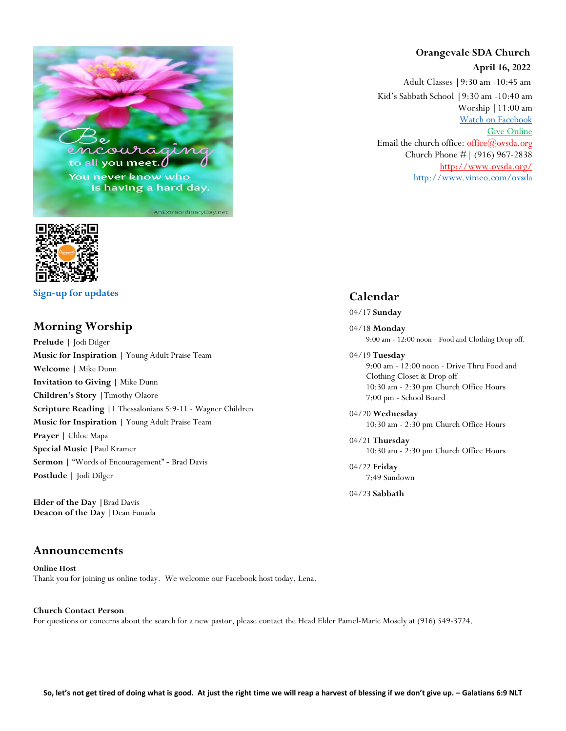



**[Sign-up for updates](https://app.textinchurch.com/groups/familyform/MzE0NDM)**

#### **Morning Worship**

**Prelude |** Jodi Dilger **Music for Inspiration |** Young Adult Praise Team **Welcome |** Mike Dunn **Invitation to Giving |** Mike Dunn **Children's Story |**Timothy Olaore **Scripture Reading |**1 Thessalonians 5:9-11 - Wagner Children **Music for Inspiration |** Young Adult Praise Team **Prayer |** Chloe Mapa **Special Music |**Paul Kramer **Sermon |** "Words of Encouragement" **-** Brad Davis **Postlude |** Jodi Dilger

**Elder of the Day |**Brad Davis **Deacon of the Day |**Dean Funada

#### **Announcements**

**Online Host** Thank you for joining us online today. We welcome our Facebook host today, Lena.

### **Church Contact Person**

For questions or concerns about the search for a new pastor, please contact the Head Elder Pamel-Marie Mosely at (916) 549-3724.

# **Orangevale SDA Church**

 **April 16, 2022**

Adult Classes **|**9:30 am -10:45 am Kid's Sabbath School **|**9:30 am -10:40 am Worship **|**11:00 am [Watch on Facebook](https://www.facebook.com/OrangevaleSDAChurch) [Give Online](https://adventistgiving.org/#/org/ANPIK1/envelope/start) Email the church office: office $@$ ovsda.org Church Phone #| (916) 967-2838 <http://www.ovsda.org/> <http://www.vimeo.com/ovsda>

#### **Calendar**

04/17 **Sunday**

04/18 **Monday** 9:00 am - 12:00 noon - Food and Clothing Drop off.

04/19 **Tuesday**

9:00 am - 12:00 noon - Drive Thru Food and Clothing Closet & Drop off 10:30 am - 2:30 pm Church Office Hours 7:00 pm - School Board

04/20 **Wednesday** 10:30 am - 2:30 pm Church Office Hours

04/21 **Thursday** 10:30 am - 2:30 pm Church Office Hours

04/22 **Friday** 7:49 Sundown

04/23 **Sabbath**